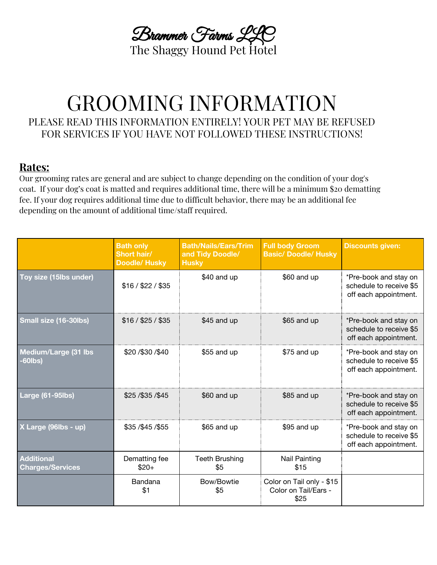Brammer Farms LLC The Shaggy Hound Pet Hotel

# GROOMING INFORMATION PLEASE READ THIS INFORMATION ENTIRELY! YOUR PET MAY BE REFUSED FOR SERVICES IF YOU HAVE NOT FOLLOWED THESE INSTRUCTIONS!

### **Rates:**

Our grooming rates are general and are subject to change depending on the condition of your dog's coat. If your dog's coat is matted and requires additional time, there will be a minimum \$20 dematting fee. If your dog requires additional time due to difficult behavior, there may be an additional fee depending on the amount of additional time/staff required.

|                                              | <b>Bath only</b><br><b>Short hair/</b><br><b>Doodle/ Husky</b> | <b>Bath/Nails/Ears/Trim</b><br>and Tidy Doodle/<br><b>Husky</b> | <b>Full body Groom</b><br><b>Basic/ Doodle/ Husky</b>     | <b>Discounts given:</b>                                                   |
|----------------------------------------------|----------------------------------------------------------------|-----------------------------------------------------------------|-----------------------------------------------------------|---------------------------------------------------------------------------|
| Toy size (15lbs under)                       | \$16 / \$22 / \$35                                             | \$40 and up                                                     | \$60 and up                                               | *Pre-book and stay on<br>schedule to receive \$5<br>off each appointment. |
| Small size (16-30lbs)                        | \$16 / \$25 / \$35                                             | \$45 and up                                                     | \$65 and up                                               | *Pre-book and stay on<br>schedule to receive \$5<br>off each appointment. |
| Medium/Large (31 lbs<br>$-60$ lbs)           | \$20/\$30/\$40                                                 | \$55 and up                                                     | \$75 and up                                               | *Pre-book and stay on<br>schedule to receive \$5<br>off each appointment. |
| <b>Large (61-95lbs)</b>                      | \$25/\$35/\$45                                                 | \$60 and up                                                     | \$85 and up                                               | *Pre-book and stay on<br>schedule to receive \$5<br>off each appointment. |
| X Large (96lbs - up)                         | \$35 / \$45 / \$55                                             | \$65 and up                                                     | \$95 and up                                               | *Pre-book and stay on<br>schedule to receive \$5<br>off each appointment. |
| <b>Additional</b><br><b>Charges/Services</b> | Dematting fee<br>$$20+$                                        | <b>Teeth Brushing</b><br>\$5                                    | <b>Nail Painting</b><br>\$15                              |                                                                           |
|                                              | Bandana<br>\$1                                                 | Bow/Bowtie<br>\$5                                               | Color on Tail only - \$15<br>Color on Tail/Ears -<br>\$25 |                                                                           |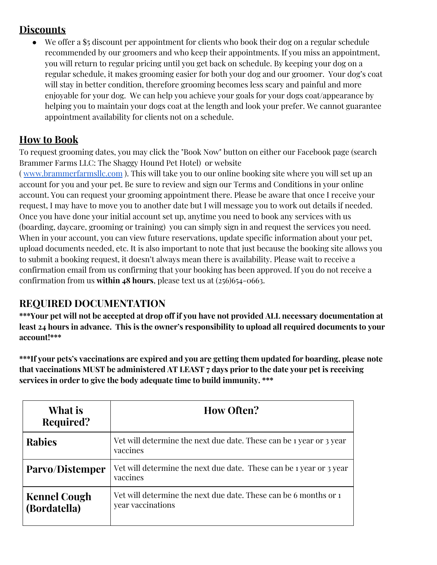### **Discounts**

We offer a \$5 discount per appointment for clients who book their dog on a regular schedule recommended by our groomers and who keep their appointments. If you miss an appointment, you will return to regular pricing until you get back on schedule. By keeping your dog on a regular schedule, it makes grooming easier for both your dog and our groomer. Your dog's coat will stay in better condition, therefore grooming becomes less scary and painful and more enjoyable for your dog. We can help you achieve your goals for your dogs coat/appearance by helping you to maintain your dogs coat at the length and look your prefer. We cannot guarantee appointment availability for clients not on a schedule.

### **How to Book**

To request grooming dates, you may click the "Book Now" button on either our Facebook page (search Brammer Farms LLC: The Shaggy Hound Pet Hotel) or website

( [www.brammerfarmsllc.com](http://www.brammerfarmsllc.com/) ). This will take you to our online booking site where you will set up an account for you and your pet. Be sure to review and sign our Terms and Conditions in your online account. You can request your grooming appointment there. Please be aware that once I receive your request, I may have to move you to another date but I will message you to work out details if needed. Once you have done your initial account set up, anytime you need to book any services with us (boarding, daycare, grooming or training) you can simply sign in and request the services you need. When in your account, you can view future reservations, update specific information about your pet, upload documents needed, etc. It is also important to note that just because the booking site allows you to submit a booking request, it doesn't always mean there is availability. Please wait to receive a confirmation email from us confirming that your booking has been approved. If you do not receive a confirmation from us **within 48 hours**, please text us at (256)654-0663.

### **REQUIRED DOCUMENTATION**

\*\*\*Your pet will not be accepted at drop off if you have not provided ALL necessary documentation at **least 24 hours in advance. This is the owner's responsibility to upload all required documents to your account!\*\*\***

**\*\*\*If your pets's vaccinations are expired and you are getting them updated for boarding, please note that vaccinations MUST be administered AT LEAST 7 days prior to the date your pet is receiving services in order to give the body adequate time to build immunity. \*\*\***

| What is<br>Required?                | <b>How Often?</b>                                                                     |  |  |
|-------------------------------------|---------------------------------------------------------------------------------------|--|--|
| <b>Rabies</b>                       | Vet will determine the next due date. These can be 1 year or 3 year<br>vaccines       |  |  |
| Parvo/Distemper                     | Vet will determine the next due date. These can be 1 year or 3 year<br>vaccines       |  |  |
| <b>Kennel Cough</b><br>(Bordatella) | Vet will determine the next due date. These can be 6 months or 1<br>year vaccinations |  |  |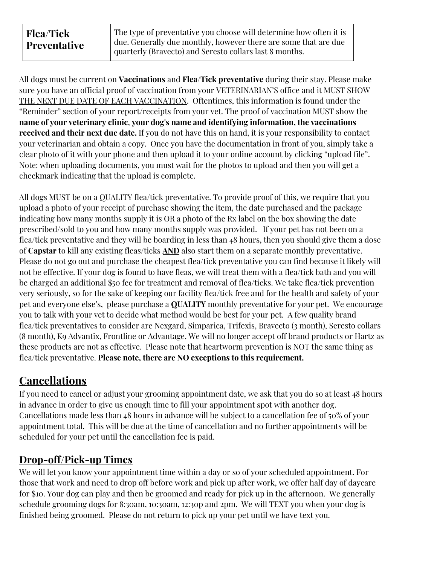All dogs must be current on **Vaccinations** and **Flea/Tick preventative** during their stay. Please make sure you have an official proof of vaccination from your VETERINARIAN'S office and it MUST SHOW THE NEXT DUE DATE OF EACH VACCINATION. Oftentimes, this information is found under the "Reminder" section of your report/receipts from your vet. The proof of vaccination MUST show the **name of your veterinary clinic**, **your dog's name and identifying information, the vaccinations received and their next due date.** If you do not have this on hand, it is your responsibility to contact your veterinarian and obtain a copy. Once you have the documentation in front of you, simply take a clear photo of it with your phone and then upload it to your online account by clicking "upload file". Note: when uploading documents, you must wait for the photos to upload and then you will get a checkmark indicating that the upload is complete.

All dogs MUST be on a QUALITY flea/tick preventative. To provide proof of this, we require that you upload a photo of your receipt of purchase showing the item, the date purchased and the package indicating how many months supply it is OR a photo of the Rx label on the box showing the date prescribed/sold to you and how many months supply was provided. If your pet has not been on a flea/tick preventative and they will be boarding in less than 48 hours, then you should give them a dose of **Capstar** to kill any existing fleas/ticks **AND** also start them on a separate monthly preventative. Please do not go out and purchase the cheapest flea/tick preventative you can find because it likely will not be effective. If your dog is found to have fleas, we will treat them with a flea/tick bath and you will be charged an additional \$50 fee for treatment and removal of flea/ticks. We take flea/tick prevention very seriously, so for the sake of keeping our facility flea/tick free and for the health and safety of your pet and everyone else's, please purchase a **QUALITY** monthly preventative for your pet. We encourage you to talk with your vet to decide what method would be best for your pet. A few quality brand flea/tick preventatives to consider are Nexgard, Simparica, Trifexis, Bravecto (3 month), Seresto collars (8 month), K9 Advantix, Frontline or Advantage. We will no longer accept off brand products or Hartz as these products are not as effective. Please note that heartworm prevention is NOT the same thing as flea/tick preventative. **Please note, there are NO exceptions to this requirement.**

# **Cancellations**

If you need to cancel or adjust your grooming appointment date, we ask that you do so at least 48 hours in advance in order to give us enough time to fill your appointment spot with another dog. Cancellations made less than 48 hours in advance will be subject to a cancellation fee of 50% of your appointment total. This will be due at the time of cancellation and no further appointments will be scheduled for your pet until the cancellation fee is paid.

# **Drop-off/Pick-up Times**

We will let you know your appointment time within a day or so of your scheduled appointment. For those that work and need to drop off before work and pick up after work, we offer half day of daycare for \$10. Your dog can play and then be groomed and ready for pick up in the afternoon. We generally schedule grooming dogs for 8:30am, 10:30am, 12:30p and 2pm. We will TEXT you when your dog is finished being groomed. Please do not return to pick up your pet until we have text you.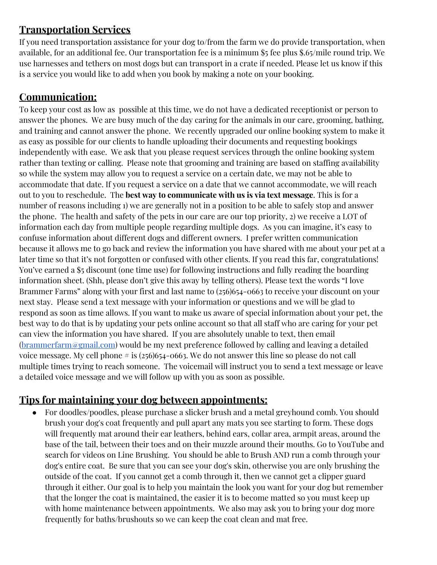## **Transportation Services**

If you need transportation assistance for your dog to/from the farm we do provide transportation, when available, for an additional fee. Our transportation fee is a minimum \$5 fee plus \$.65/mile round trip. We use harnesses and tethers on most dogs but can transport in a crate if needed. Please let us know if this is a service you would like to add when you book by making a note on your booking.

# **Communication:**

To keep your cost as low as possible at this time, we do not have a dedicated receptionist or person to answer the phones. We are busy much of the day caring for the animals in our care, grooming, bathing, and training and cannot answer the phone. We recently upgraded our online booking system to make it as easy as possible for our clients to handle uploading their documents and requesting bookings independently with ease. We ask that you please request services through the online booking system rather than texting or calling. Please note that grooming and training are based on staffing availability so while the system may allow you to request a service on a certain date, we may not be able to accommodate that date. If you request a service on a date that we cannot accommodate, we will reach out to you to reschedule. The **best way to communicate with us is via text message**. This is for a number of reasons including 1) we are generally not in a position to be able to safely stop and answer the phone. The health and safety of the pets in our care are our top priority, 2) we receive a LOT of information each day from multiple people regarding multiple dogs. As you can imagine, it's easy to confuse information about different dogs and different owners. I prefer written communication because it allows me to go back and review the information you have shared with me about your pet at a later time so that it's not forgotten or confused with other clients. If you read this far, congratulations! You've earned a \$5 discount (one time use) for following instructions and fully reading the boarding information sheet. (Shh, please don't give this away by telling others). Please text the words "I love Brammer Farms" along with your first and last name to (256)654-0663 to receive your discount on your next stay. Please send a text message with your information or questions and we will be glad to respond as soon as time allows. If you want to make us aware of special information about your pet, the best way to do that is by updating your pets online account so that all staff who are caring for your pet can view the information you have shared. If you are absolutely unable to text, then email  $(brammer farm@gmail.com)$  would be my next preference followed by calling and leaving a detailed voice message. My cell phone  $\#$  is (256)654-0663. We do not answer this line so please do not call multiple times trying to reach someone. The voicemail will instruct you to send a text message or leave a detailed voice message and we will follow up with you as soon as possible.

### **Tips for maintaining your dog between appointments:**

For doodles/poodles, please purchase a slicker brush and a metal greyhound comb. You should brush your dog's coat frequently and pull apart any mats you see starting to form. These dogs will frequently mat around their ear leathers, behind ears, collar area, armpit areas, around the base of the tail, between their toes and on their muzzle around their mouths. Go to YouTube and search for videos on Line Brushing. You should be able to Brush AND run a comb through your dog's entire coat. Be sure that you can see your dog's skin, otherwise you are only brushing the outside of the coat. If you cannot get a comb through it, then we cannot get a clipper guard through it either. Our goal is to help you maintain the look you want for your dog but remember that the longer the coat is maintained, the easier it is to become matted so you must keep up with home maintenance between appointments. We also may ask you to bring your dog more frequently for baths/brushouts so we can keep the coat clean and mat free.